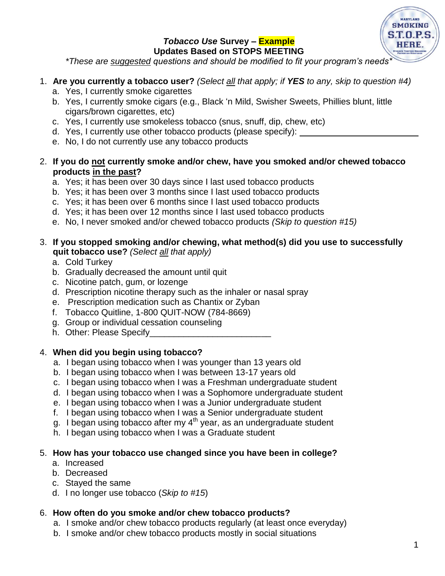

# *Tobacco Use* **Survey – Example Updates Based on STOPS MEETING**

*\*These are suggested questions and should be modified to fit your program's needs\**

# 1. **Are you currently a tobacco user?** *(Select all that apply; if YES to any, skip to question #4)*

- a. Yes, I currently smoke cigarettes
- b. Yes, I currently smoke cigars (e.g., Black "n Mild, Swisher Sweets, Phillies blunt, little cigars/brown cigarettes, etc)
- c. Yes, I currently use smokeless tobacco (snus, snuff, dip, chew, etc)
- d. Yes, I currently use other tobacco products (please specify):
- e. No, I do not currently use any tobacco products

### 2. **If you do not currently smoke and/or chew, have you smoked and/or chewed tobacco products in the past?**

- a. Yes; it has been over 30 days since I last used tobacco products
- b. Yes; it has been over 3 months since I last used tobacco products
- c. Yes; it has been over 6 months since I last used tobacco products
- d. Yes; it has been over 12 months since I last used tobacco products
- e. No, I never smoked and/or chewed tobacco products *(Skip to question #15)*

# 3. **If you stopped smoking and/or chewing, what method(s) did you use to successfully quit tobacco use?** *(Select all that apply)*

- a. Cold Turkey
- b. Gradually decreased the amount until quit
- c. Nicotine patch, gum, or lozenge
- d. Prescription nicotine therapy such as the inhaler or nasal spray
- e. Prescription medication such as Chantix or Zyban
- f. Tobacco Quitline, 1-800 QUIT-NOW (784-8669)
- g. Group or individual cessation counseling
- h. Other: Please Specify

# 4. **When did you begin using tobacco?**

- a. I began using tobacco when I was younger than 13 years old
- b. I began using tobacco when I was between 13-17 years old
- c. I began using tobacco when I was a Freshman undergraduate student
- d. I began using tobacco when I was a Sophomore undergraduate student
- e. I began using tobacco when I was a Junior undergraduate student
- f. I began using tobacco when I was a Senior undergraduate student
- g. I began using tobacco after my  $4<sup>th</sup>$  year, as an undergraduate student
- h. I began using tobacco when I was a Graduate student

# 5. **How has your tobacco use changed since you have been in college?**

- a. Increased
- b. Decreased
- c. Stayed the same
- d. I no longer use tobacco (*Skip to #15*)

# 6. **How often do you smoke and/or chew tobacco products?**

- a. I smoke and/or chew tobacco products regularly (at least once everyday)
- b. I smoke and/or chew tobacco products mostly in social situations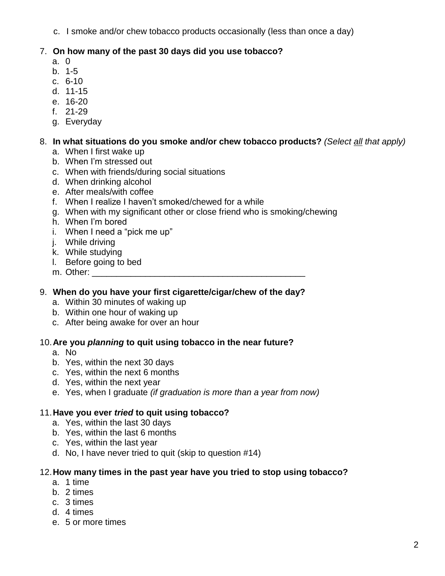c. I smoke and/or chew tobacco products occasionally (less than once a day)

# 7. **On how many of the past 30 days did you use tobacco?**

- a. 0
- b. 1-5
- c. 6-10
- d. 11-15
- e. 16-20
- f. 21-29
- g. Everyday

# 8. **In what situations do you smoke and/or chew tobacco products?** *(Select all that apply)*

- a. When I first wake up
- b. When I"m stressed out
- c. When with friends/during social situations
- d. When drinking alcohol
- e. After meals/with coffee
- f. When I realize I haven"t smoked/chewed for a while
- g. When with my significant other or close friend who is smoking/chewing
- h. When I"m bored
- i. When I need a "pick me up"
- j. While driving
- k. While studying
- l. Before going to bed
- m. Other:

# 9. **When do you have your first cigarette/cigar/chew of the day?**

- a. Within 30 minutes of waking up
- b. Within one hour of waking up
- c. After being awake for over an hour

#### 10.**Are you** *planning* **to quit using tobacco in the near future?**

- a. No
- b. Yes, within the next 30 days
- c. Yes, within the next 6 months
- d. Yes, within the next year
- e. Yes, when I graduate *(if graduation is more than a year from now)*

# 11.**Have you ever** *tried* **to quit using tobacco?**

- a. Yes, within the last 30 days
- b. Yes, within the last 6 months
- c. Yes, within the last year
- d. No, I have never tried to quit (skip to question #14)

#### 12.**How many times in the past year have you tried to stop using tobacco?**

- a. 1 time
- b. 2 times
- c. 3 times
- d. 4 times
- e. 5 or more times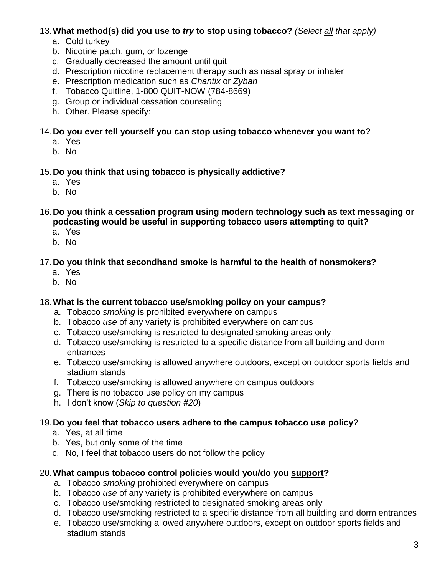# 13.**What method(s) did you use to** *try* **to stop using tobacco?** *(Select all that apply)*

- a. Cold turkey
- b. Nicotine patch, gum, or lozenge
- c. Gradually decreased the amount until quit
- d. Prescription nicotine replacement therapy such as nasal spray or inhaler
- e. Prescription medication such as *Chantix* or *Zyban*
- f. Tobacco Quitline, 1-800 QUIT-NOW (784-8669)
- g. Group or individual cessation counseling
- h. Other. Please specify:

### 14.**Do you ever tell yourself you can stop using tobacco whenever you want to?**

- a. Yes
- b. No

### 15.**Do you think that using tobacco is physically addictive?**

- a. Yes
- b. No
- 16.**Do you think a cessation program using modern technology such as text messaging or podcasting would be useful in supporting tobacco users attempting to quit?**
	- a. Yes
	- b. No

# 17.**Do you think that secondhand smoke is harmful to the health of nonsmokers?**

- a. Yes
- b. No

# 18.**What is the current tobacco use/smoking policy on your campus?**

- a. Tobacco *smoking* is prohibited everywhere on campus
- b. Tobacco *use* of any variety is prohibited everywhere on campus
- c. Tobacco use/smoking is restricted to designated smoking areas only
- d. Tobacco use/smoking is restricted to a specific distance from all building and dorm entrances
- e. Tobacco use/smoking is allowed anywhere outdoors, except on outdoor sports fields and stadium stands
- f. Tobacco use/smoking is allowed anywhere on campus outdoors
- g. There is no tobacco use policy on my campus
- h. I don"t know (*Skip to question #20*)

# 19.**Do you feel that tobacco users adhere to the campus tobacco use policy?**

- a. Yes, at all time
- b. Yes, but only some of the time
- c. No, I feel that tobacco users do not follow the policy

# 20.**What campus tobacco control policies would you/do you support?**

- a. Tobacco *smoking* prohibited everywhere on campus
- b. Tobacco *use* of any variety is prohibited everywhere on campus
- c. Tobacco use/smoking restricted to designated smoking areas only
- d. Tobacco use/smoking restricted to a specific distance from all building and dorm entrances
- e. Tobacco use/smoking allowed anywhere outdoors, except on outdoor sports fields and stadium stands